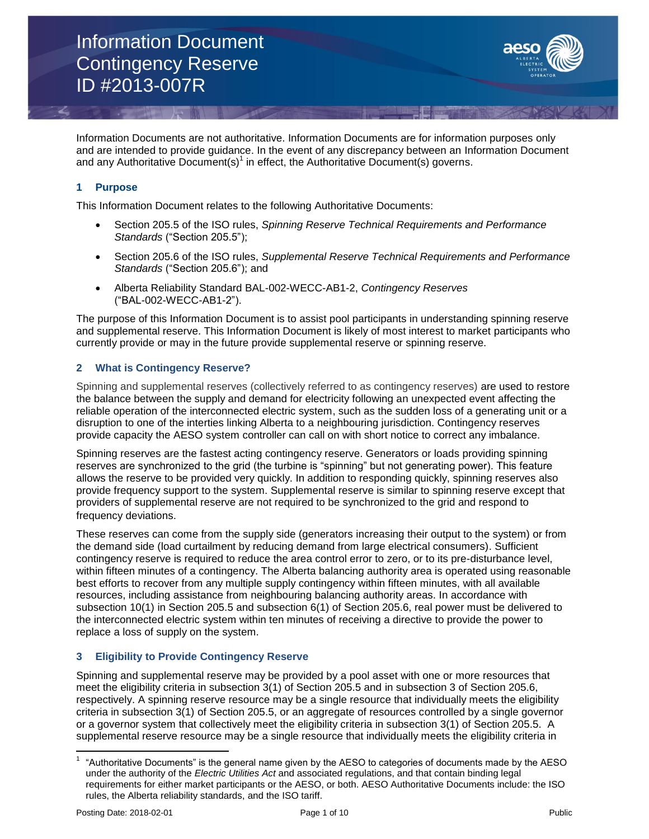

Information Documents are not authoritative. Information Documents are for information purposes only and are intended to provide guidance. In the event of any discrepancy between an Information Document and any Authoritative Document(s)<sup>1</sup> in effect, the Authoritative Document(s) governs.

# **1 Purpose**

This Information Document relates to the following Authoritative Documents:

- Section 205.5 of the ISO rules, *Spinning Reserve Technical Requirements and Performance Standards* ("Section 205.5");
- Section 205.6 of the ISO rules, *Supplemental Reserve Technical Requirements and Performance Standards* ("Section 205.6"); and
- Alberta Reliability Standard BAL-002-WECC-AB1-2, *Contingency Reserves*  ("BAL-002-WECC-AB1-2").

The purpose of this Information Document is to assist pool participants in understanding spinning reserve and supplemental reserve. This Information Document is likely of most interest to market participants who currently provide or may in the future provide supplemental reserve or spinning reserve.

### **2 What is Contingency Reserve?**

Spinning and supplemental reserves (collectively referred to as contingency reserves) are used to restore the balance between the supply and demand for electricity following an unexpected event affecting the reliable operation of the interconnected electric system, such as the sudden loss of a generating unit or a disruption to one of the interties linking Alberta to a neighbouring jurisdiction. Contingency reserves provide capacity the AESO system controller can call on with short notice to correct any imbalance.

Spinning reserves are the fastest acting contingency reserve. Generators or loads providing spinning reserves are synchronized to the grid (the turbine is "spinning" but not generating power). This feature allows the reserve to be provided very quickly. In addition to responding quickly, spinning reserves also provide frequency support to the system. Supplemental reserve is similar to spinning reserve except that providers of supplemental reserve are not required to be synchronized to the grid and respond to frequency deviations.

These reserves can come from the supply side (generators increasing their output to the system) or from the demand side (load curtailment by reducing demand from large electrical consumers). Sufficient contingency reserve is required to reduce the area control error to zero, or to its pre-disturbance level, within fifteen minutes of a contingency. The Alberta balancing authority area is operated using reasonable best efforts to recover from any multiple supply contingency within fifteen minutes, with all available resources, including assistance from neighbouring balancing authority areas. In accordance with subsection 10(1) in Section 205.5 and subsection 6(1) of Section 205.6, real power must be delivered to the interconnected electric system within ten minutes of receiving a directive to provide the power to replace a loss of supply on the system.

# **3 Eligibility to Provide Contingency Reserve**

Spinning and supplemental reserve may be provided by a pool asset with one or more resources that meet the eligibility criteria in subsection 3(1) of Section 205.5 and in subsection 3 of Section 205.6, respectively. A spinning reserve resource may be a single resource that individually meets the eligibility criteria in subsection 3(1) of Section 205.5, or an aggregate of resources controlled by a single governor or a governor system that collectively meet the eligibility criteria in subsection 3(1) of Section 205.5. A supplemental reserve resource may be a single resource that individually meets the eligibility criteria in

 $\overline{\phantom{a}}$ 

<sup>1</sup> "Authoritative Documents" is the general name given by the AESO to categories of documents made by the AESO under the authority of the *Electric Utilities Act* and associated regulations, and that contain binding legal requirements for either market participants or the AESO, or both. AESO Authoritative Documents include: the ISO rules, the Alberta reliability standards, and the ISO tariff.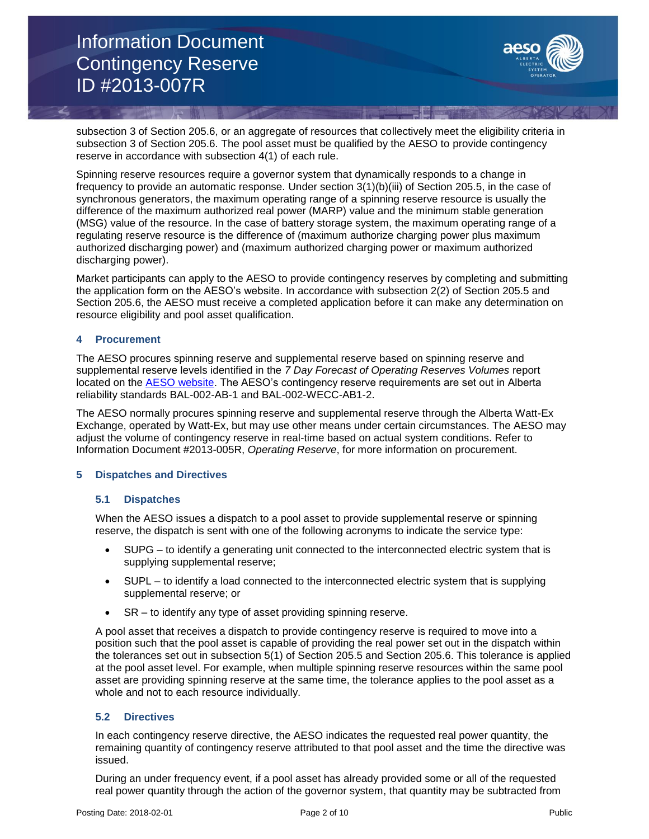

subsection 3 of Section 205.6, or an aggregate of resources that collectively meet the eligibility criteria in subsection 3 of Section 205.6. The pool asset must be qualified by the AESO to provide contingency reserve in accordance with subsection 4(1) of each rule.

Spinning reserve resources require a governor system that dynamically responds to a change in frequency to provide an automatic response. Under section 3(1)(b)(iii) of Section 205.5, in the case of synchronous generators, the maximum operating range of a spinning reserve resource is usually the difference of the maximum authorized real power (MARP) value and the minimum stable generation (MSG) value of the resource. In the case of battery storage system, the maximum operating range of a regulating reserve resource is the difference of (maximum authorize charging power plus maximum authorized discharging power) and (maximum authorized charging power or maximum authorized discharging power).

Market participants can apply to the AESO to provide contingency reserves by completing and submitting the application form on the AESO's website. In accordance with subsection 2(2) of Section 205.5 and Section 205.6, the AESO must receive a completed application before it can make any determination on resource eligibility and pool asset qualification.

#### **4 Procurement**

The AESO procures spinning reserve and supplemental reserve based on spinning reserve and supplemental reserve levels identified in the *7 Day Forecast of Operating Reserves Volumes* report located on the [AESO website.](https://www.aeso.ca/market/market-and-system-reporting/) The AESO's contingency reserve requirements are set out in Alberta reliability standards BAL-002-AB-1 and BAL-002-WECC-AB1-2.

The AESO normally procures spinning reserve and supplemental reserve through the Alberta Watt-Ex Exchange, operated by Watt-Ex, but may use other means under certain circumstances. The AESO may adjust the volume of contingency reserve in real-time based on actual system conditions. Refer to Information Document #2013-005R, *Operating Reserve*, for more information on procurement.

#### **5 Dispatches and Directives**

#### **5.1 Dispatches**

When the AESO issues a dispatch to a pool asset to provide supplemental reserve or spinning reserve, the dispatch is sent with one of the following acronyms to indicate the service type:

- SUPG to identify a generating unit connected to the interconnected electric system that is supplying supplemental reserve;
- SUPL to identify a load connected to the interconnected electric system that is supplying supplemental reserve; or
- SR to identify any type of asset providing spinning reserve.

A pool asset that receives a dispatch to provide contingency reserve is required to move into a position such that the pool asset is capable of providing the real power set out in the dispatch within the tolerances set out in subsection 5(1) of Section 205.5 and Section 205.6. This tolerance is applied at the pool asset level. For example, when multiple spinning reserve resources within the same pool asset are providing spinning reserve at the same time, the tolerance applies to the pool asset as a whole and not to each resource individually.

# **5.2 Directives**

In each contingency reserve directive, the AESO indicates the requested real power quantity, the remaining quantity of contingency reserve attributed to that pool asset and the time the directive was issued.

During an under frequency event, if a pool asset has already provided some or all of the requested real power quantity through the action of the governor system, that quantity may be subtracted from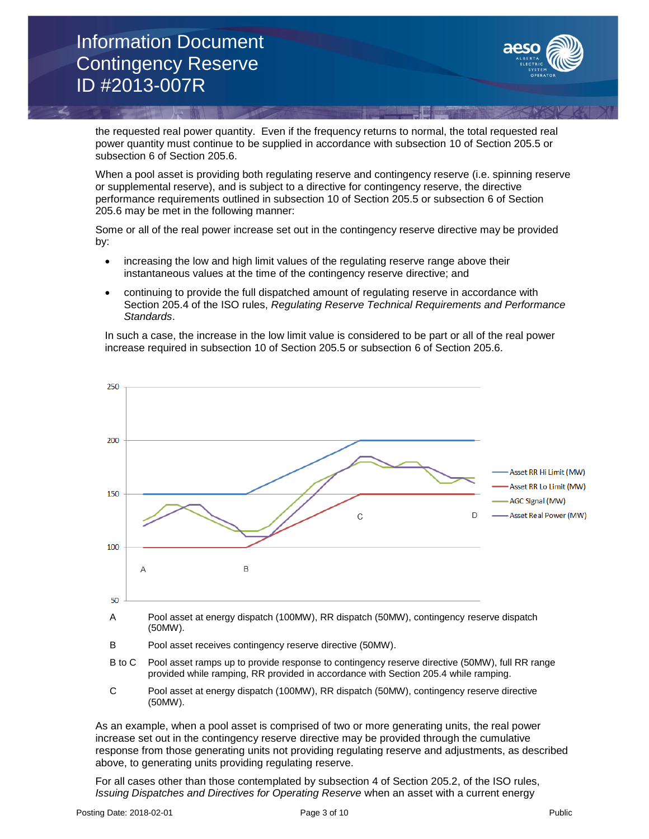

the requested real power quantity. Even if the frequency returns to normal, the total requested real power quantity must continue to be supplied in accordance with subsection 10 of Section 205.5 or subsection 6 of Section 205.6.

When a pool asset is providing both regulating reserve and contingency reserve (i.e. spinning reserve or supplemental reserve), and is subject to a directive for contingency reserve, the directive performance requirements outlined in subsection 10 of Section 205.5 or subsection 6 of Section 205.6 may be met in the following manner:

Some or all of the real power increase set out in the contingency reserve directive may be provided by:

- increasing the low and high limit values of the regulating reserve range above their instantaneous values at the time of the contingency reserve directive; and
- continuing to provide the full dispatched amount of regulating reserve in accordance with Section 205.4 of the ISO rules, *Regulating Reserve Technical Requirements and Performance Standards*.

In such a case, the increase in the low limit value is considered to be part or all of the real power increase required in subsection 10 of Section 205.5 or subsection 6 of Section 205.6.



- A Pool asset at energy dispatch (100MW), RR dispatch (50MW), contingency reserve dispatch (50MW).
- B Pool asset receives contingency reserve directive (50MW).
- B to C Pool asset ramps up to provide response to contingency reserve directive (50MW), full RR range provided while ramping, RR provided in accordance with Section 205.4 while ramping.
- C Pool asset at energy dispatch (100MW), RR dispatch (50MW), contingency reserve directive (50MW).

As an example, when a pool asset is comprised of two or more generating units, the real power increase set out in the contingency reserve directive may be provided through the cumulative response from those generating units not providing regulating reserve and adjustments, as described above, to generating units providing regulating reserve.

For all cases other than those contemplated by subsection 4 of Section 205.2, of the ISO rules, *Issuing Dispatches and Directives for Operating Reserve* when an asset with a current energy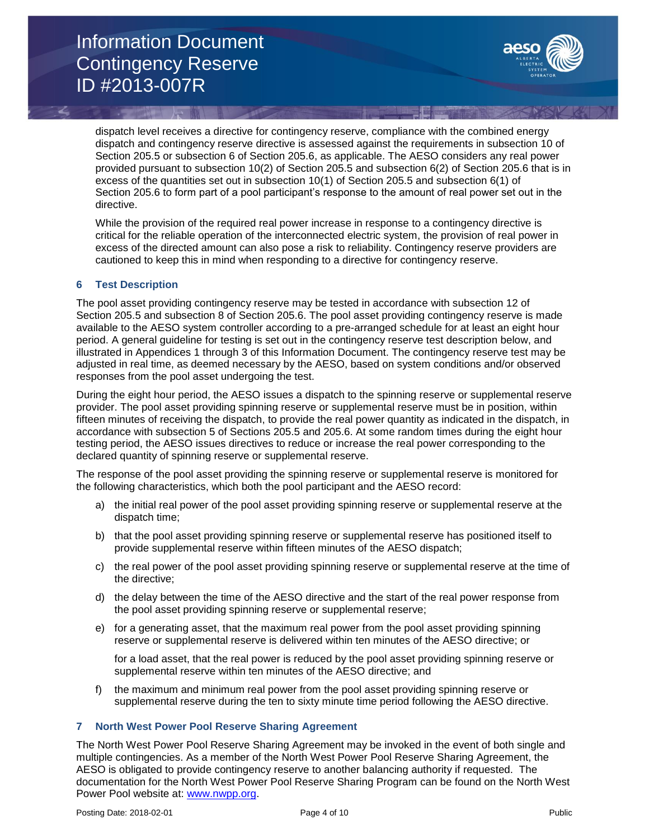

dispatch level receives a directive for contingency reserve, compliance with the combined energy dispatch and contingency reserve directive is assessed against the requirements in subsection 10 of Section 205.5 or subsection 6 of Section 205.6, as applicable. The AESO considers any real power provided pursuant to subsection 10(2) of Section 205.5 and subsection 6(2) of Section 205.6 that is in excess of the quantities set out in subsection 10(1) of Section 205.5 and subsection 6(1) of Section 205.6 to form part of a pool participant's response to the amount of real power set out in the directive.

While the provision of the required real power increase in response to a contingency directive is critical for the reliable operation of the interconnected electric system, the provision of real power in excess of the directed amount can also pose a risk to reliability. Contingency reserve providers are cautioned to keep this in mind when responding to a directive for contingency reserve.

#### **6 Test Description**

The pool asset providing contingency reserve may be tested in accordance with subsection 12 of Section 205.5 and subsection 8 of Section 205.6. The pool asset providing contingency reserve is made available to the AESO system controller according to a pre-arranged schedule for at least an eight hour period. A general guideline for testing is set out in the contingency reserve test description below, and illustrated in Appendices 1 through 3 of this Information Document. The contingency reserve test may be adjusted in real time, as deemed necessary by the AESO, based on system conditions and/or observed responses from the pool asset undergoing the test.

During the eight hour period, the AESO issues a dispatch to the spinning reserve or supplemental reserve provider. The pool asset providing spinning reserve or supplemental reserve must be in position, within fifteen minutes of receiving the dispatch, to provide the real power quantity as indicated in the dispatch, in accordance with subsection 5 of Sections 205.5 and 205.6. At some random times during the eight hour testing period, the AESO issues directives to reduce or increase the real power corresponding to the declared quantity of spinning reserve or supplemental reserve.

The response of the pool asset providing the spinning reserve or supplemental reserve is monitored for the following characteristics, which both the pool participant and the AESO record:

- a) the initial real power of the pool asset providing spinning reserve or supplemental reserve at the dispatch time;
- b) that the pool asset providing spinning reserve or supplemental reserve has positioned itself to provide supplemental reserve within fifteen minutes of the AESO dispatch;
- c) the real power of the pool asset providing spinning reserve or supplemental reserve at the time of the directive;
- d) the delay between the time of the AESO directive and the start of the real power response from the pool asset providing spinning reserve or supplemental reserve;
- e) for a generating asset, that the maximum real power from the pool asset providing spinning reserve or supplemental reserve is delivered within ten minutes of the AESO directive; or

for a load asset, that the real power is reduced by the pool asset providing spinning reserve or supplemental reserve within ten minutes of the AESO directive; and

f) the maximum and minimum real power from the pool asset providing spinning reserve or supplemental reserve during the ten to sixty minute time period following the AESO directive.

#### **7 North West Power Pool Reserve Sharing Agreement**

The North West Power Pool Reserve Sharing Agreement may be invoked in the event of both single and multiple contingencies. As a member of the North West Power Pool Reserve Sharing Agreement, the AESO is obligated to provide contingency reserve to another balancing authority if requested. The documentation for the North West Power Pool Reserve Sharing Program can be found on the North West Power Pool website at: [www.nwpp.org.](http://www.nwpp.org/)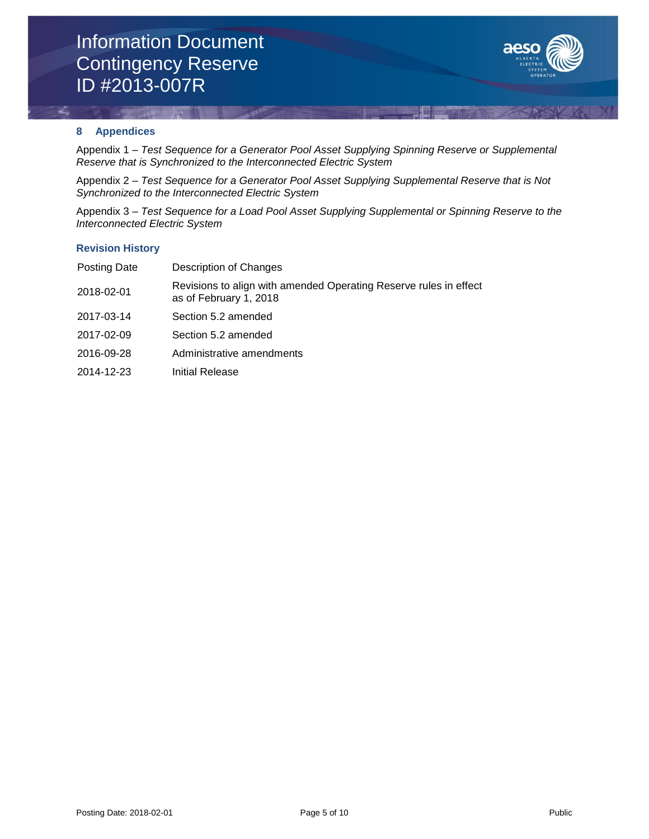

### **8 Appendices**

Appendix 1 – *Test Sequence for a Generator Pool Asset Supplying Spinning Reserve or Supplemental Reserve that is Synchronized to the Interconnected Electric System*

Appendix 2 – *Test Sequence for a Generator Pool Asset Supplying Supplemental Reserve that is Not Synchronized to the Interconnected Electric System*

Appendix 3 – *Test Sequence for a Load Pool Asset Supplying Supplemental or Spinning Reserve to the Interconnected Electric System*

#### **Revision History**

| Posting Date | Description of Changes                                                                      |
|--------------|---------------------------------------------------------------------------------------------|
| 2018-02-01   | Revisions to align with amended Operating Reserve rules in effect<br>as of February 1, 2018 |
| 2017-03-14   | Section 5.2 amended                                                                         |
| 2017-02-09   | Section 5.2 amended                                                                         |
| 2016-09-28   | Administrative amendments                                                                   |
| 2014-12-23   | Initial Release                                                                             |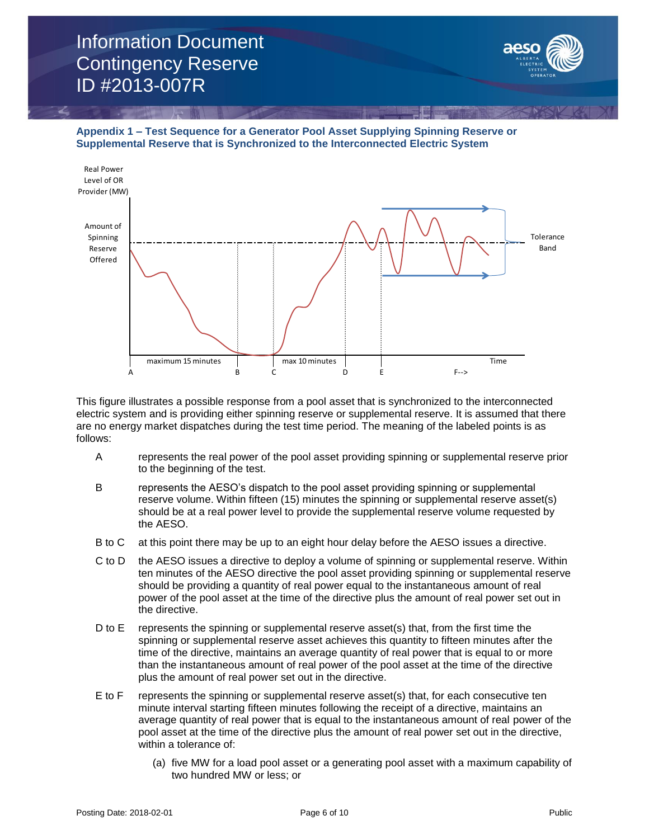

**Appendix 1 – Test Sequence for a Generator Pool Asset Supplying Spinning Reserve or Supplemental Reserve that is Synchronized to the Interconnected Electric System**



This figure illustrates a possible response from a pool asset that is synchronized to the interconnected electric system and is providing either spinning reserve or supplemental reserve. It is assumed that there are no energy market dispatches during the test time period. The meaning of the labeled points is as follows:

- A represents the real power of the pool asset providing spinning or supplemental reserve prior to the beginning of the test.
- B represents the AESO's dispatch to the pool asset providing spinning or supplemental reserve volume. Within fifteen (15) minutes the spinning or supplemental reserve asset(s) should be at a real power level to provide the supplemental reserve volume requested by the AESO.
- B to C at this point there may be up to an eight hour delay before the AESO issues a directive.
- C to D the AESO issues a directive to deploy a volume of spinning or supplemental reserve. Within ten minutes of the AESO directive the pool asset providing spinning or supplemental reserve should be providing a quantity of real power equal to the instantaneous amount of real power of the pool asset at the time of the directive plus the amount of real power set out in the directive.
- D to E represents the spinning or supplemental reserve asset(s) that, from the first time the spinning or supplemental reserve asset achieves this quantity to fifteen minutes after the time of the directive, maintains an average quantity of real power that is equal to or more than the instantaneous amount of real power of the pool asset at the time of the directive plus the amount of real power set out in the directive.
- E to F represents the spinning or supplemental reserve asset(s) that, for each consecutive ten minute interval starting fifteen minutes following the receipt of a directive, maintains an average quantity of real power that is equal to the instantaneous amount of real power of the pool asset at the time of the directive plus the amount of real power set out in the directive, within a tolerance of:
	- (a) five MW for a load pool asset or a generating pool asset with a maximum capability of two hundred MW or less; or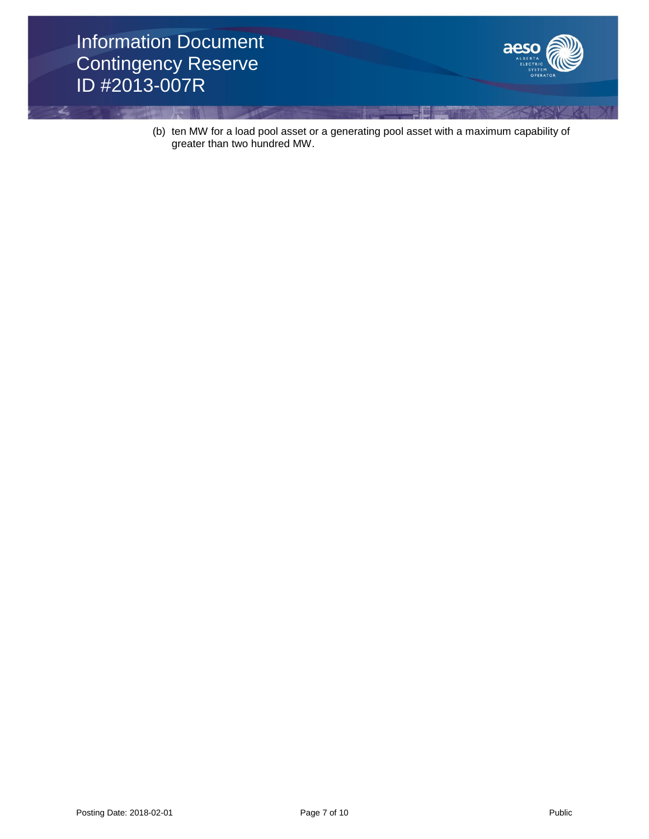

(b) ten MW for a load pool asset or a generating pool asset with a maximum capability of greater than two hundred MW.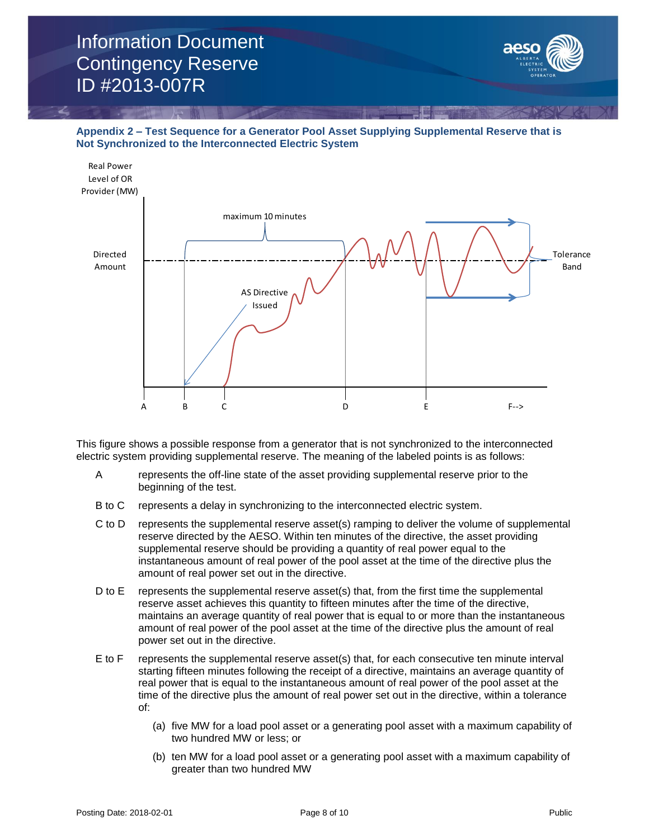

**Appendix 2 – Test Sequence for a Generator Pool Asset Supplying Supplemental Reserve that is Not Synchronized to the Interconnected Electric System**



This figure shows a possible response from a generator that is not synchronized to the interconnected electric system providing supplemental reserve. The meaning of the labeled points is as follows:

- A represents the off-line state of the asset providing supplemental reserve prior to the beginning of the test.
- B to C represents a delay in synchronizing to the interconnected electric system.
- C to D represents the supplemental reserve asset(s) ramping to deliver the volume of supplemental reserve directed by the AESO. Within ten minutes of the directive, the asset providing supplemental reserve should be providing a quantity of real power equal to the instantaneous amount of real power of the pool asset at the time of the directive plus the amount of real power set out in the directive.
- D to E represents the supplemental reserve asset(s) that, from the first time the supplemental reserve asset achieves this quantity to fifteen minutes after the time of the directive, maintains an average quantity of real power that is equal to or more than the instantaneous amount of real power of the pool asset at the time of the directive plus the amount of real power set out in the directive.
- E to F represents the supplemental reserve asset(s) that, for each consecutive ten minute interval starting fifteen minutes following the receipt of a directive, maintains an average quantity of real power that is equal to the instantaneous amount of real power of the pool asset at the time of the directive plus the amount of real power set out in the directive, within a tolerance of:
	- (a) five MW for a load pool asset or a generating pool asset with a maximum capability of two hundred MW or less; or
	- (b) ten MW for a load pool asset or a generating pool asset with a maximum capability of greater than two hundred MW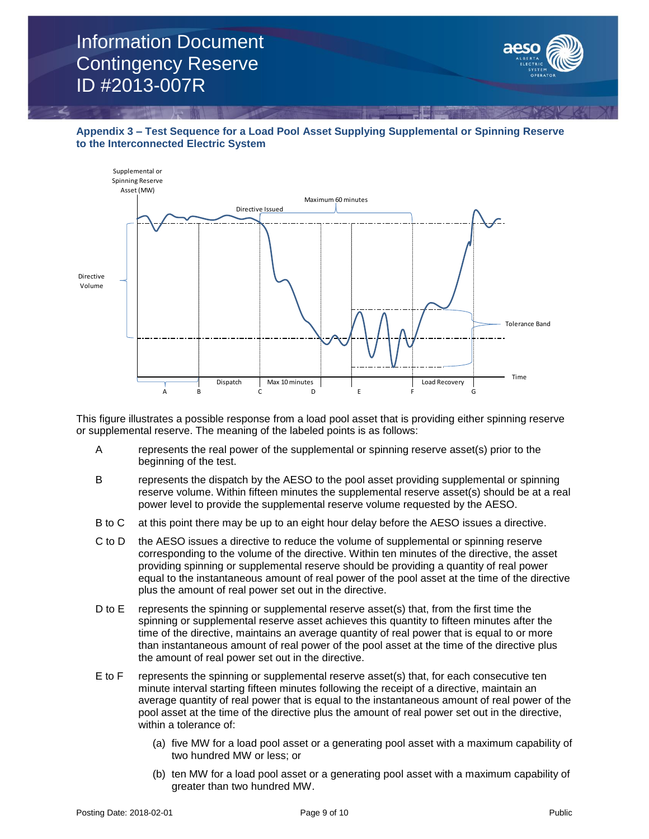



This figure illustrates a possible response from a load pool asset that is providing either spinning reserve or supplemental reserve. The meaning of the labeled points is as follows:

- A represents the real power of the supplemental or spinning reserve asset(s) prior to the beginning of the test.
- B represents the dispatch by the AESO to the pool asset providing supplemental or spinning reserve volume. Within fifteen minutes the supplemental reserve asset(s) should be at a real power level to provide the supplemental reserve volume requested by the AESO.
- B to C at this point there may be up to an eight hour delay before the AESO issues a directive.
- C to D the AESO issues a directive to reduce the volume of supplemental or spinning reserve corresponding to the volume of the directive. Within ten minutes of the directive, the asset providing spinning or supplemental reserve should be providing a quantity of real power equal to the instantaneous amount of real power of the pool asset at the time of the directive plus the amount of real power set out in the directive.
- D to E represents the spinning or supplemental reserve asset(s) that, from the first time the spinning or supplemental reserve asset achieves this quantity to fifteen minutes after the time of the directive, maintains an average quantity of real power that is equal to or more than instantaneous amount of real power of the pool asset at the time of the directive plus the amount of real power set out in the directive.
- E to F represents the spinning or supplemental reserve asset(s) that, for each consecutive ten minute interval starting fifteen minutes following the receipt of a directive, maintain an average quantity of real power that is equal to the instantaneous amount of real power of the pool asset at the time of the directive plus the amount of real power set out in the directive, within a tolerance of:
	- (a) five MW for a load pool asset or a generating pool asset with a maximum capability of two hundred MW or less; or
	- (b) ten MW for a load pool asset or a generating pool asset with a maximum capability of greater than two hundred MW.